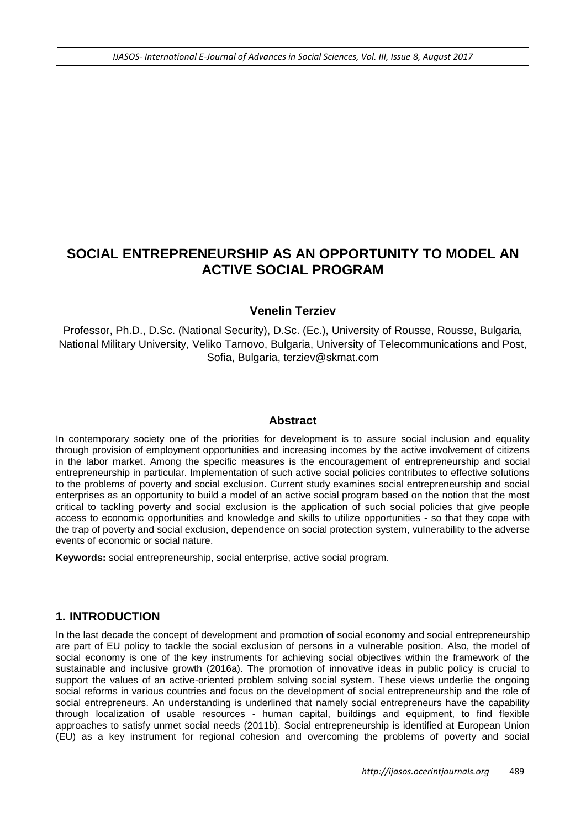# **SOCIAL ENTREPRENEURSHIP AS AN OPPORTUNITY TO MODEL AN ACTIVE SOCIAL PROGRAM**

#### **Venelin Terziev**

Professor, Ph.D., D.Sc. (National Security), D.Sc. (Ec.), University of Rousse, Rousse, Bulgaria, National Military University, Veliko Tarnovo, Bulgaria, University of Telecommunications and Post, Sofia, Bulgaria, terziev@skmat.com

#### **Abstract**

In contemporary society one of the priorities for development is to assure social inclusion and equality through provision of employment opportunities and increasing incomes by the active involvement of citizens in the labor market. Among the specific measures is the encouragement of entrepreneurship and social entrepreneurship in particular. Implementation of such active social policies contributes to effective solutions to the problems of poverty and social exclusion. Current study examines social entrepreneurship and social enterprises as an opportunity to build a model of an active social program based on the notion that the most critical to tackling poverty and social exclusion is the application of such social policies that give people access to economic opportunities and knowledge and skills to utilize opportunities - so that they cope with the trap of poverty and social exclusion, dependence on social protection system, vulnerability to the adverse events of economic or social nature.

**Keywords:** social entrepreneurship, social enterprise, active social program.

## **1. INTRODUCTION**

In the last decade the concept of development and promotion of social economy and social entrepreneurship are part of EU policy to tackle the social exclusion of persons in a vulnerable position. Also, the model of social economy is one of the key instruments for achieving social objectives within the framework of the sustainable and inclusive growth (2016a). The promotion of innovative ideas in public policy is crucial to support the values of an active-oriented problem solving social system. These views underlie the ongoing social reforms in various countries and focus on the development of social entrepreneurship and the role of social entrepreneurs. An understanding is underlined that namely social entrepreneurs have the capability through localization of usable resources - human capital, buildings and equipment, to find flexible approaches to satisfy unmet social needs (2011b). Social entrepreneurship is identified at European Union (EU) as a key instrument for regional cohesion and overcoming the problems of poverty and social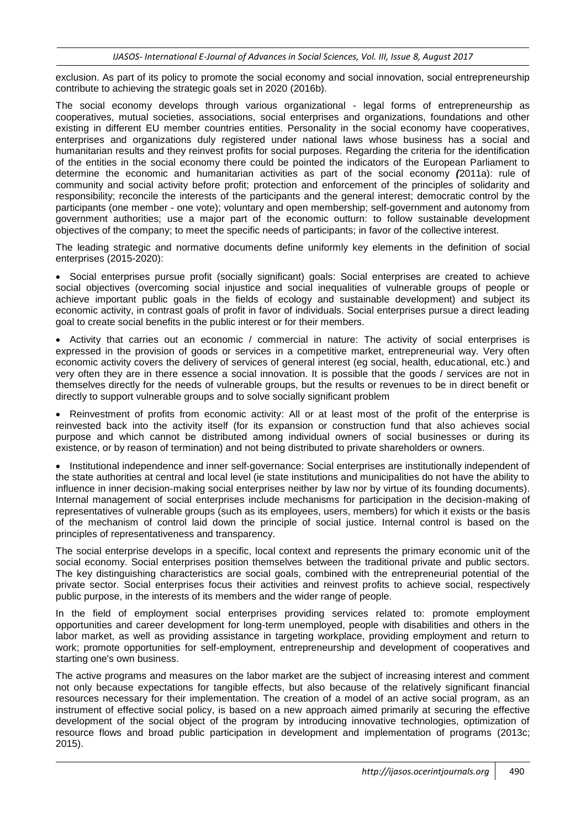exclusion. As part of its policy to promote the social economy and social innovation, social entrepreneurship contribute to achieving the strategic goals set in 2020 (2016b).

The social economy develops through various organizational - legal forms of entrepreneurship as cooperatives, mutual societies, associations, social enterprises and organizations, foundations and other existing in different EU member countries entities. Personality in the social economy have cooperatives, enterprises and organizations duly registered under national laws whose business has a social and humanitarian results and they reinvest profits for social purposes. Regarding the criteria for the identification of the entities in the social economy there could be pointed the indicators of the European Parliament to determine the economic and humanitarian activities as part of the social economy *(*2011a): rule of community and social activity before profit; protection and enforcement of the principles of solidarity and responsibility; reconcile the interests of the participants and the general interest; democratic control by the participants (one member - one vote); voluntary and open membership; self-government and autonomy from government authorities; use a major part of the economic outturn: to follow sustainable development objectives of the company; to meet the specific needs of participants; in favor of the collective interest.

The leading strategic and normative documents define uniformly key elements in the definition of social enterprises (2015-2020):

 Social enterprises pursue profit (socially significant) goals: Social enterprises are created to achieve social objectives (overcoming social injustice and social inequalities of vulnerable groups of people or achieve important public goals in the fields of ecology and sustainable development) and subject its economic activity, in contrast goals of profit in favor of individuals. Social enterprises pursue a direct leading goal to create social benefits in the public interest or for their members.

• Activity that carries out an economic / commercial in nature: The activity of social enterprises is expressed in the provision of goods or services in a competitive market, entrepreneurial way. Very often economic activity covers the delivery of services of general interest (eg social, health, educational, etc.) and very often they are in there essence a social innovation. It is possible that the goods / services are not in themselves directly for the needs of vulnerable groups, but the results or revenues to be in direct benefit or directly to support vulnerable groups and to solve socially significant problem

• Reinvestment of profits from economic activity: All or at least most of the profit of the enterprise is reinvested back into the activity itself (for its expansion or construction fund that also achieves social purpose and which cannot be distributed among individual owners of social businesses or during its existence, or by reason of termination) and not being distributed to private shareholders or owners.

• Institutional independence and inner self-governance: Social enterprises are institutionally independent of the state authorities at central and local level (ie state institutions and municipalities do not have the ability to influence in inner decision-making social enterprises neither by law nor by virtue of its founding documents). Internal management of social enterprises include mechanisms for participation in the decision-making of representatives of vulnerable groups (such as its employees, users, members) for which it exists or the basis of the mechanism of control laid down the principle of social justice. Internal control is based on the principles of representativeness and transparency.

The social enterprise develops in a specific, local context and represents the primary economic unit of the social economy. Social enterprises position themselves between the traditional private and public sectors. The key distinguishing characteristics are social goals, combined with the entrepreneurial potential of the private sector. Social enterprises focus their activities and reinvest profits to achieve social, respectively public purpose, in the interests of its members and the wider range of people.

In the field of employment social enterprises providing services related to: promote employment opportunities and career development for long-term unemployed, people with disabilities and others in the labor market, as well as providing assistance in targeting workplace, providing employment and return to work; promote opportunities for self-employment, entrepreneurship and development of cooperatives and starting one's own business.

The active programs and measures on the labor market are the subject of increasing interest and comment not only because expectations for tangible effects, but also because of the relatively significant financial resources necessary for their implementation. The creation of a model of an active social program, as an instrument of effective social policy, is based on a new approach aimed primarily at securing the effective development of the social object of the program by introducing innovative technologies, optimization of resource flows and broad public participation in development and implementation of programs (2013c; 2015).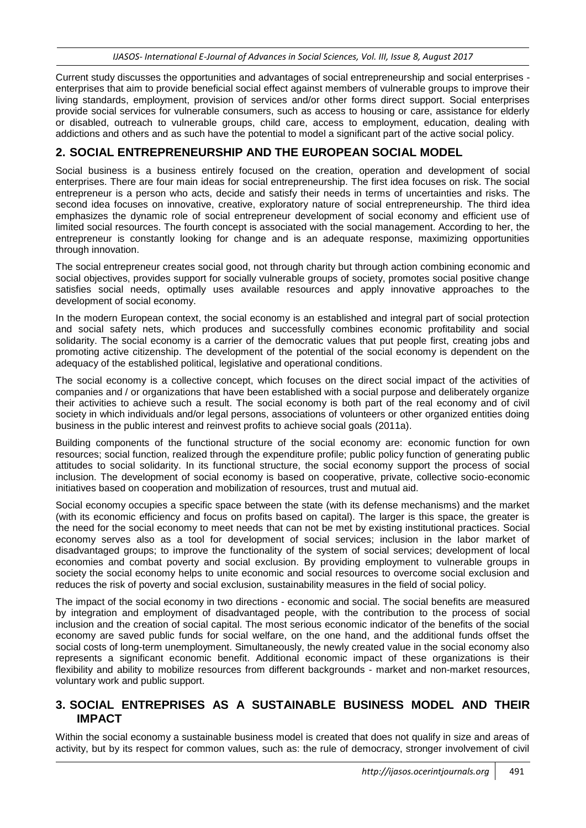Current study discusses the opportunities and advantages of social entrepreneurship and social enterprises enterprises that aim to provide beneficial social effect against members of vulnerable groups to improve their living standards, employment, provision of services and/or other forms direct support. Social enterprises provide social services for vulnerable consumers, such as access to housing or care, assistance for elderly or disabled, outreach to vulnerable groups, child care, access to employment, education, dealing with addictions and others and as such have the potential to model a significant part of the active social policy.

#### **2. SOCIAL ENTREPRENEURSHIP AND THE EUROPEAN SOCIAL MODEL**

Social business is a business entirely focused on the creation, operation and development of social enterprises. There are four main ideas for social entrepreneurship. The first idea focuses on risk. The social entrepreneur is a person who acts, decide and satisfy their needs in terms of uncertainties and risks. The second idea focuses on innovative, creative, exploratory nature of social entrepreneurship. The third idea emphasizes the dynamic role of social entrepreneur development of social economy and efficient use of limited social resources. The fourth concept is associated with the social management. According to her, the entrepreneur is constantly looking for change and is an adequate response, maximizing opportunities through innovation.

The social entrepreneur creates social good, not through charity but through action combining economic and social objectives, provides support for socially vulnerable groups of society, promotes social positive change satisfies social needs, optimally uses available resources and apply innovative approaches to the development of social economy.

In the modern European context, the social economy is an established and integral part of social protection and social safety nets, which produces and successfully combines economic profitability and social solidarity. The social economy is a carrier of the democratic values that put people first, creating jobs and promoting active citizenship. The development of the potential of the social economy is dependent on the adequacy of the established political, legislative and operational conditions.

The social economy is a collective concept, which focuses on the direct social impact of the activities of companies and / or organizations that have been established with a social purpose and deliberately organize their activities to achieve such a result. The social economy is both part of the real economy and of civil society in which individuals and/or legal persons, associations of volunteers or other organized entities doing business in the public interest and reinvest profits to achieve social goals (2011a).

Building components of the functional structure of the social economy are: economic function for own resources; social function, realized through the expenditure profile; public policy function of generating public attitudes to social solidarity. In its functional structure, the social economy support the process of social inclusion. The development of social economy is based on cooperative, private, collective socio-economic initiatives based on cooperation and mobilization of resources, trust and mutual aid.

Social economy occupies a specific space between the state (with its defense mechanisms) and the market (with its economic efficiency and focus on profits based on capital). The larger is this space, the greater is the need for the social economy to meet needs that can not be met by existing institutional practices. Social economy serves also as a tool for development of social services; inclusion in the labor market of disadvantaged groups; to improve the functionality of the system of social services; development of local economies and combat poverty and social exclusion. By providing employment to vulnerable groups in society the social economy helps to unite economic and social resources to overcome social exclusion and reduces the risk of poverty and social exclusion, sustainability measures in the field of social policy.

The impact of the social economy in two directions - economic and social. The social benefits are measured by integration and employment of disadvantaged people, with the contribution to the process of social inclusion and the creation of social capital. The most serious economic indicator of the benefits of the social economy are saved public funds for social welfare, on the one hand, and the additional funds offset the social costs of long-term unemployment. Simultaneously, the newly created value in the social economy also represents a significant economic benefit. Additional economic impact of these organizations is their flexibility and ability to mobilize resources from different backgrounds - market and non-market resources, voluntary work and public support.

#### **3. SOCIAL ENTREPRISES AS A SUSTAINABLE BUSINESS MODEL AND THEIR IMPACT**

Within the social economy a sustainable business model is created that does not qualify in size and areas of activity, but by its respect for common values, such as: the rule of democracy, stronger involvement of civil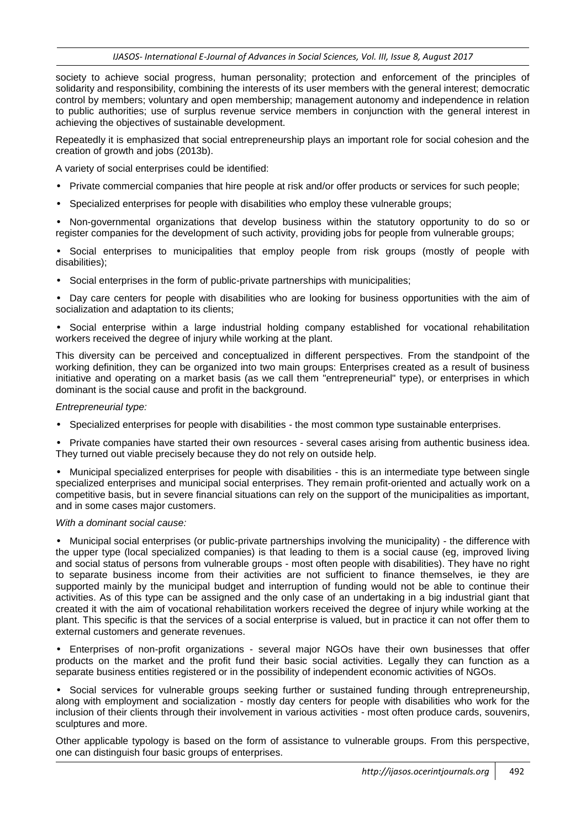society to achieve social progress, human personality; protection and enforcement of the principles of solidarity and responsibility, combining the interests of its user members with the general interest; democratic control by members; voluntary and open membership; management autonomy and independence in relation to public authorities; use of surplus revenue service members in conjunction with the general interest in achieving the objectives of sustainable development.

Repeatedly it is emphasized that social entrepreneurship plays an important role for social cohesion and the creation of growth and jobs (2013b).

A variety of social enterprises could be identified:

- Private commercial companies that hire people at risk and/or offer products or services for such people;
- Specialized enterprises for people with disabilities who employ these vulnerable groups;

• Non-governmental organizations that develop business within the statutory opportunity to do so or register companies for the development of such activity, providing jobs for people from vulnerable groups;

• Social enterprises to municipalities that employ people from risk groups (mostly of people with disabilities);

• Social enterprises in the form of public-private partnerships with municipalities;

• Day care centers for people with disabilities who are looking for business opportunities with the aim of socialization and adaptation to its clients;

• Social enterprise within a large industrial holding company established for vocational rehabilitation workers received the degree of injury while working at the plant.

This diversity can be perceived and conceptualized in different perspectives. From the standpoint of the working definition, they can be organized into two main groups: Enterprises created as a result of business initiative and operating on a market basis (as we call them "entrepreneurial" type), or enterprises in which dominant is the social cause and profit in the background.

#### *Entrepreneurial type:*

• Specialized enterprises for people with disabilities - the most common type sustainable enterprises.

• Private companies have started their own resources - several cases arising from authentic business idea. They turned out viable precisely because they do not rely on outside help.

• Municipal specialized enterprises for people with disabilities - this is an intermediate type between single specialized enterprises and municipal social enterprises. They remain profit-oriented and actually work on a competitive basis, but in severe financial situations can rely on the support of the municipalities as important, and in some cases major customers.

#### *With a dominant social cause:*

• Municipal social enterprises (or public-private partnerships involving the municipality) - the difference with the upper type (local specialized companies) is that leading to them is a social cause (eg, improved living and social status of persons from vulnerable groups - most often people with disabilities). They have no right to separate business income from their activities are not sufficient to finance themselves, ie they are supported mainly by the municipal budget and interruption of funding would not be able to continue their activities. As of this type can be assigned and the only case of an undertaking in a big industrial giant that created it with the aim of vocational rehabilitation workers received the degree of injury while working at the plant. This specific is that the services of a social enterprise is valued, but in practice it can not offer them to external customers and generate revenues.

• Enterprises of non-profit organizations - several major NGOs have their own businesses that offer products on the market and the profit fund their basic social activities. Legally they can function as a separate business entities registered or in the possibility of independent economic activities of NGOs.

• Social services for vulnerable groups seeking further or sustained funding through entrepreneurship, along with employment and socialization - mostly day centers for people with disabilities who work for the inclusion of their clients through their involvement in various activities - most often produce cards, souvenirs, sculptures and more.

Other applicable typology is based on the form of assistance to vulnerable groups. From this perspective, one can distinguish four basic groups of enterprises.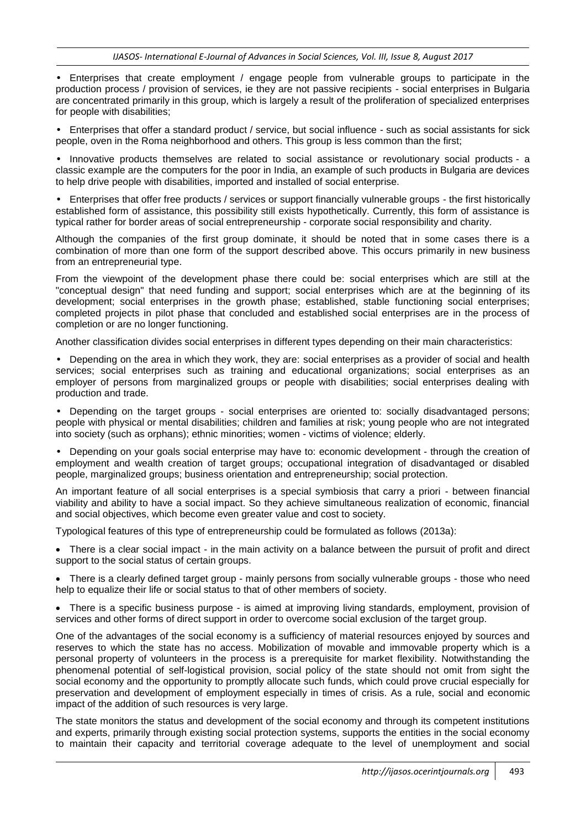• Enterprises that create employment / engage people from vulnerable groups to participate in the production process / provision of services, ie they are not passive recipients - social enterprises in Bulgaria are concentrated primarily in this group, which is largely a result of the proliferation of specialized enterprises for people with disabilities;

• Enterprises that offer a standard product / service, but social influence - such as social assistants for sick people, oven in the Roma neighborhood and others. This group is less common than the first;

• Innovative products themselves are related to social assistance or revolutionary social products - a classic example are the computers for the poor in India, an example of such products in Bulgaria are devices to help drive people with disabilities, imported and installed of social enterprise.

• Enterprises that offer free products / services or support financially vulnerable groups - the first historically established form of assistance, this possibility still exists hypothetically. Currently, this form of assistance is typical rather for border areas of social entrepreneurship - corporate social responsibility and charity.

Although the companies of the first group dominate, it should be noted that in some cases there is a combination of more than one form of the support described above. This occurs primarily in new business from an entrepreneurial type.

From the viewpoint of the development phase there could be: social enterprises which are still at the "conceptual design" that need funding and support; social enterprises which are at the beginning of its development; social enterprises in the growth phase; established, stable functioning social enterprises; completed projects in pilot phase that concluded and established social enterprises are in the process of completion or are no longer functioning.

Another classification divides social enterprises in different types depending on their main characteristics:

• Depending on the area in which they work, they are: social enterprises as a provider of social and health services; social enterprises such as training and educational organizations; social enterprises as an employer of persons from marginalized groups or people with disabilities; social enterprises dealing with production and trade.

• Depending on the target groups - social enterprises are oriented to: socially disadvantaged persons; people with physical or mental disabilities; children and families at risk; young people who are not integrated into society (such as orphans); ethnic minorities; women - victims of violence; elderly.

• Depending on your goals social enterprise may have to: economic development - through the creation of employment and wealth creation of target groups; occupational integration of disadvantaged or disabled people, marginalized groups; business orientation and entrepreneurship; social protection.

An important feature of all social enterprises is a special symbiosis that carry a priori - between financial viability and ability to have a social impact. So they achieve simultaneous realization of economic, financial and social objectives, which become even greater value and cost to society.

Typological features of this type of entrepreneurship could be formulated as follows (2013a):

 There is a clear social impact - in the main activity on a balance between the pursuit of profit and direct support to the social status of certain groups.

• There is a clearly defined target group - mainly persons from socially vulnerable groups - those who need help to equalize their life or social status to that of other members of society.

 There is a specific business purpose - is aimed at improving living standards, employment, provision of services and other forms of direct support in order to overcome social exclusion of the target group.

One of the advantages of the social economy is a sufficiency of material resources enjoyed by sources and reserves to which the state has no access. Mobilization of movable and immovable property which is a personal property of volunteers in the process is a prerequisite for market flexibility. Notwithstanding the phenomenal potential of self-logistical provision, social policy of the state should not omit from sight the social economy and the opportunity to promptly allocate such funds, which could prove crucial especially for preservation and development of employment especially in times of crisis. As a rule, social and economic impact of the addition of such resources is very large.

The state monitors the status and development of the social economy and through its competent institutions and experts, primarily through existing social protection systems, supports the entities in the social economy to maintain their capacity and territorial coverage adequate to the level of unemployment and social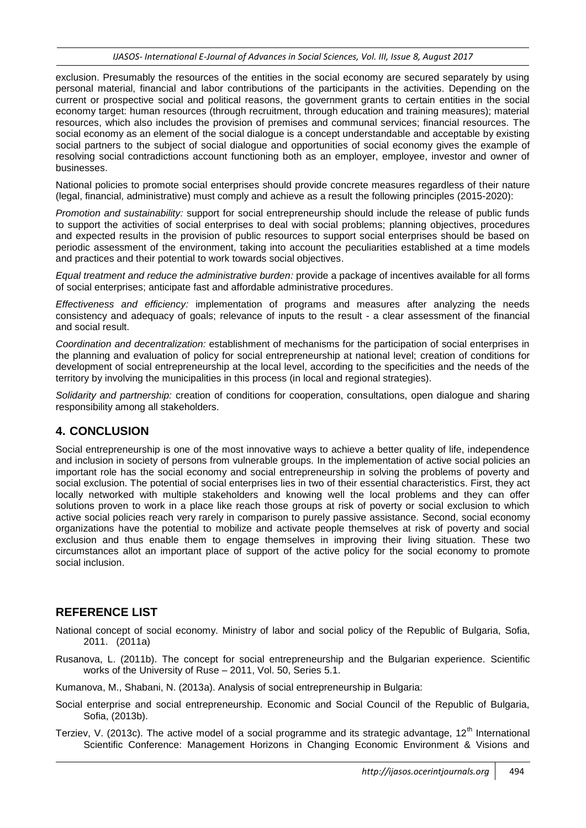exclusion. Presumably the resources of the entities in the social economy are secured separately by using personal material, financial and labor contributions of the participants in the activities. Depending on the current or prospective social and political reasons, the government grants to certain entities in the social economy target: human resources (through recruitment, through education and training measures); material resources, which also includes the provision of premises and communal services; financial resources. The social economy as an element of the social dialogue is a concept understandable and acceptable by existing social partners to the subject of social dialogue and opportunities of social economy gives the example of resolving social contradictions account functioning both as an employer, employee, investor and owner of businesses.

National policies to promote social enterprises should provide concrete measures regardless of their nature (legal, financial, administrative) must comply and achieve as a result the following principles (2015-2020):

*Promotion and sustainability:* support for social entrepreneurship should include the release of public funds to support the activities of social enterprises to deal with social problems; planning objectives, procedures and expected results in the provision of public resources to support social enterprises should be based on periodic assessment of the environment, taking into account the peculiarities established at a time models and practices and their potential to work towards social objectives.

*Equal treatment and reduce the administrative burden:* provide a package of incentives available for all forms of social enterprises; anticipate fast and affordable administrative procedures.

*Effectiveness and efficiency:* implementation of programs and measures after analyzing the needs consistency and adequacy of goals; relevance of inputs to the result - a clear assessment of the financial and social result.

*Coordination and decentralization:* establishment of mechanisms for the participation of social enterprises in the planning and evaluation of policy for social entrepreneurship at national level; creation of conditions for development of social entrepreneurship at the local level, according to the specificities and the needs of the territory by involving the municipalities in this process (in local and regional strategies).

*Solidarity and partnership:* creation of conditions for cooperation, consultations, open dialogue and sharing responsibility among all stakeholders.

## **4. CONCLUSION**

Social entrepreneurship is one of the most innovative ways to achieve a better quality of life, independence and inclusion in society of persons from vulnerable groups. In the implementation of active social policies an important role has the social economy and social entrepreneurship in solving the problems of poverty and social exclusion. The potential of social enterprises lies in two of their essential characteristics. First, they act locally networked with multiple stakeholders and knowing well the local problems and they can offer solutions proven to work in a place like reach those groups at risk of poverty or social exclusion to which active social policies reach very rarely in comparison to purely passive assistance. Second, social economy organizations have the potential to mobilize and activate people themselves at risk of poverty and social exclusion and thus enable them to engage themselves in improving their living situation. These two circumstances allot an important place of support of the active policy for the social economy to promote social inclusion.

## **REFERENCE LIST**

- National concept of social economy. Ministry of labor and social policy of the Republic of Bulgaria, Sofia, 2011. (2011a)
- Rusanova, L. (2011b). The concept for social entrepreneurship and the Bulgarian experience. Scientific works of the University of Ruse – 2011, Vol. 50, Series 5.1.

Kumanova, M., Shabani, N. (2013a). Analysis of social entrepreneurship in Bulgaria:

- Social enterprise and social entrepreneurship. Economic and Social Council of the Republic of Bulgaria, Sofia, (2013b).
- Terziev, V. (2013c). The active model of a social programme and its strategic advantage,  $12<sup>th</sup>$  International Scientific Conference: Management Horizons in Changing Economic Environment & Visions and